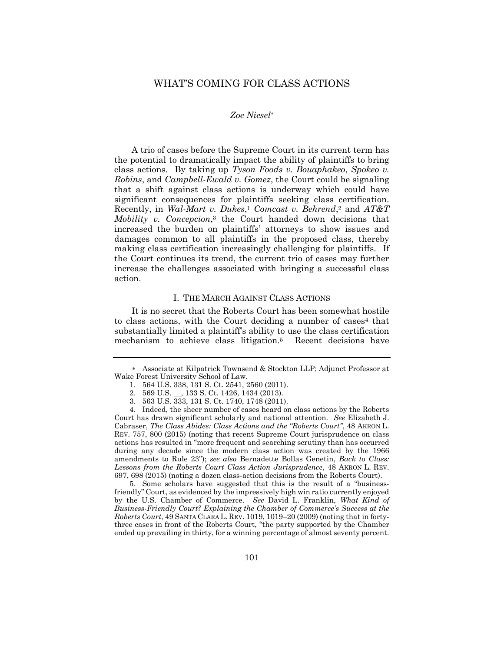# WHAT'S COMING FOR CLASS ACTIONS

### *Zoe Niesel*

A trio of cases before the Supreme Court in its current term has the potential to dramatically impact the ability of plaintiffs to bring class actions. By taking up *Tyson Foods v. Bouaphakeo*, *Spokeo v. Robins*, and *Campbell-Ewald v. Gomez*, the Court could be signaling that a shift against class actions is underway which could have significant consequences for plaintiffs seeking class certification. Recently, in *Wal-Mart v. Dukes*, <sup>1</sup> *Comcast v. Behrend*, <sup>2</sup> and *AT&T Mobility v. Concepcion*, <sup>3</sup> the Court handed down decisions that increased the burden on plaintiffs' attorneys to show issues and damages common to all plaintiffs in the proposed class, thereby making class certification increasingly challenging for plaintiffs. If the Court continues its trend, the current trio of cases may further increase the challenges associated with bringing a successful class action.

### I. THE MARCH AGAINST CLASS ACTIONS

It is no secret that the Roberts Court has been somewhat hostile to class actions, with the Court deciding a number of cases<sup>4</sup> that substantially limited a plaintiff's ability to use the class certification mechanism to achieve class litigation.<sup>5</sup> Recent decisions have

5. Some scholars have suggested that this is the result of a "businessfriendly" Court, as evidenced by the impressively high win ratio currently enjoyed by the U.S. Chamber of Commerce. *See* David L. Franklin, *What Kind of Business-Friendly Court? Explaining the Chamber of Commerce's Success at the Roberts Court*, 49 SANTA CLARA L. REV. 1019, 1019–20 (2009) (noting that in fortythree cases in front of the Roberts Court, "the party supported by the Chamber ended up prevailing in thirty, for a winning percentage of almost seventy percent.

Associate at Kilpatrick Townsend & Stockton LLP; Adjunct Professor at Wake Forest University School of Law.

<sup>1.</sup> 564 U.S. 338, 131 S. Ct. 2541, 2560 (2011).

<sup>2.</sup> 569 U.S. \_\_, 133 S. Ct. 1426, 1434 (2013).

<sup>3.</sup> 563 U.S. 333, 131 S. Ct. 1740, 1748 (2011).

<sup>4.</sup> Indeed, the sheer number of cases heard on class actions by the Roberts Court has drawn significant scholarly and national attention. *See* Elizabeth J. Cabraser, *The Class Abides: Class Actions and the "Roberts Court"*, 48 AKRON L. REV. 757, 800 (2015) (noting that recent Supreme Court jurisprudence on class actions has resulted in "more frequent and searching scrutiny than has occurred during any decade since the modern class action was created by the 1966 amendments to Rule 23"); *see also* Bernadette Bollas Genetin, *Back to Class: Lessons from the Roberts Court Class Action Jurisprudence*, 48 AKRON L. REV. 697, 698 (2015) (noting a dozen class-action decisions from the Roberts Court).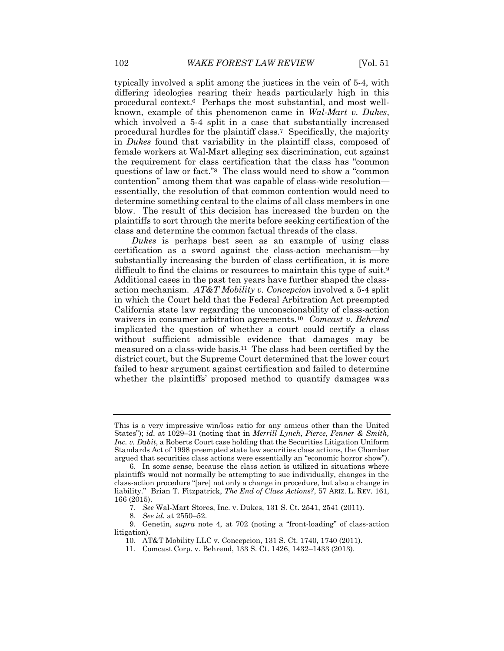typically involved a split among the justices in the vein of 5-4, with differing ideologies rearing their heads particularly high in this procedural context.6 Perhaps the most substantial, and most wellknown, example of this phenomenon came in *Wal-Mart v. Dukes*, which involved a 5-4 split in a case that substantially increased procedural hurdles for the plaintiff class.7 Specifically, the majority in *Dukes* found that variability in the plaintiff class, composed of female workers at Wal-Mart alleging sex discrimination, cut against the requirement for class certification that the class has "common questions of law or fact." <sup>8</sup> The class would need to show a "common contention" among them that was capable of class-wide resolution essentially, the resolution of that common contention would need to determine something central to the claims of all class members in one blow. The result of this decision has increased the burden on the plaintiffs to sort through the merits before seeking certification of the class and determine the common factual threads of the class.

*Dukes* is perhaps best seen as an example of using class certification as a sword against the class-action mechanism—by substantially increasing the burden of class certification, it is more difficult to find the claims or resources to maintain this type of suit.<sup>9</sup> Additional cases in the past ten years have further shaped the classaction mechanism. *AT&T Mobility v. Concepcion* involved a 5-4 split in which the Court held that the Federal Arbitration Act preempted California state law regarding the unconscionability of class-action waivers in consumer arbitration agreements.<sup>10</sup> *Comcast v. Behrend* implicated the question of whether a court could certify a class without sufficient admissible evidence that damages may be measured on a class-wide basis.11 The class had been certified by the district court, but the Supreme Court determined that the lower court failed to hear argument against certification and failed to determine whether the plaintiffs' proposed method to quantify damages was

This is a very impressive win/loss ratio for any amicus other than the United States"); *id.* at 1029–31 (noting that in *Merrill Lynch, Pierce, Fenner & Smith, Inc. v. Dabit*, a Roberts Court case holding that the Securities Litigation Uniform Standards Act of 1998 preempted state law securities class actions, the Chamber argued that securities class actions were essentially an "economic horror show").

<sup>6.</sup> In some sense, because the class action is utilized in situations where plaintiffs would not normally be attempting to sue individually, changes in the class-action procedure "[are] not only a change in procedure, but also a change in liability." Brian T. Fitzpatrick, *The End of Class Actions?*, 57 ARIZ. L. REV. 161, 166 (2015).

<sup>7.</sup> *See* Wal-Mart Stores, Inc. v. Dukes, 131 S. Ct. 2541, 2541 (2011).

<sup>8.</sup> *See id.* at 2550–52.

<sup>9.</sup> Genetin, *supra* note 4, at 702 (noting a "front-loading" of class-action litigation).

<sup>10.</sup> AT&T Mobility LLC v. Concepcion, 131 S. Ct. 1740, 1740 (2011).

<sup>11.</sup> Comcast Corp. v. Behrend, 133 S. Ct. 1426, 1432–1433 (2013).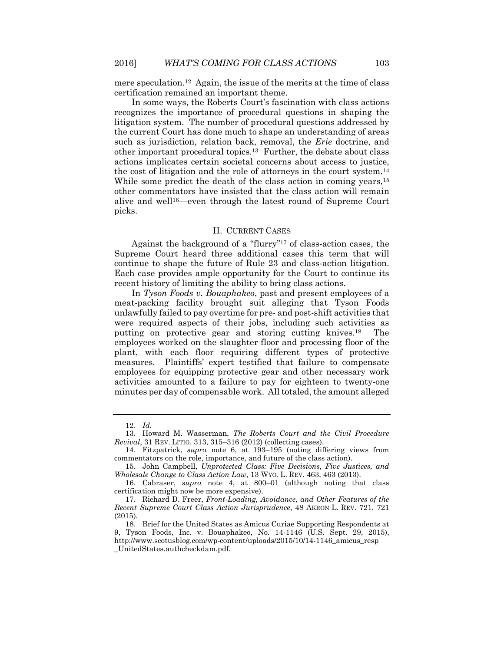mere speculation.12 Again, the issue of the merits at the time of class certification remained an important theme.

In some ways, the Roberts Court's fascination with class actions recognizes the importance of procedural questions in shaping the litigation system. The number of procedural questions addressed by the current Court has done much to shape an understanding of areas such as jurisdiction, relation back, removal, the *Erie* doctrine, and other important procedural topics.13 Further, the debate about class actions implicates certain societal concerns about access to justice, the cost of litigation and the role of attorneys in the court system.<sup>14</sup> While some predict the death of the class action in coming years,<sup>15</sup> other commentators have insisted that the class action will remain alive and well16—even through the latest round of Supreme Court picks.

## II. CURRENT CASES

Against the background of a "flurry" <sup>17</sup> of class-action cases, the Supreme Court heard three additional cases this term that will continue to shape the future of Rule 23 and class-action litigation. Each case provides ample opportunity for the Court to continue its recent history of limiting the ability to bring class actions.

In *Tyson Foods v. Bouaphakeo*, past and present employees of a meat-packing facility brought suit alleging that Tyson Foods unlawfully failed to pay overtime for pre- and post-shift activities that were required aspects of their jobs, including such activities as putting on protective gear and storing cutting knives.<sup>18</sup> The employees worked on the slaughter floor and processing floor of the plant, with each floor requiring different types of protective measures. Plaintiffs' expert testified that failure to compensate employees for equipping protective gear and other necessary work activities amounted to a failure to pay for eighteen to twenty-one minutes per day of compensable work. All totaled, the amount alleged

<sup>12.</sup> *Id.*

<sup>13.</sup> Howard M. Wasserman, *The Roberts Court and the Civil Procedure Revival*, 31 REV. LITIG. 313, 315–316 (2012) (collecting cases).

<sup>14.</sup> Fitzpatrick, *supra* note 6, at 193–195 (noting differing views from commentators on the role, importance, and future of the class action).

<sup>15.</sup> John Campbell, *Unprotected Class: Five Decisions, Five Justices, and Wholesale Change to Class Action Law*, 13 WYO. L. REV. 463, 463 (2013).

<sup>16.</sup> Cabraser, *supra* note 4, at 800–01 (although noting that class certification might now be more expensive).

<sup>17.</sup> Richard D. Freer, *Front-Loading, Avoidance, and Other Features of the Recent Supreme Court Class Action Jurisprudence*, 48 AKRON L. REV. 721, 721 (2015).

<sup>18.</sup> Brief for the United States as Amicus Curiae Supporting Respondents at 9, Tyson Foods, Inc. v. Bouaphakeo, No. 14-1146 (U.S. Sept. 29, 2015), http://www.scotusblog.com/wp-content/uploads/2015/10/14-1146\_amicus\_resp \_UnitedStates.authcheckdam.pdf.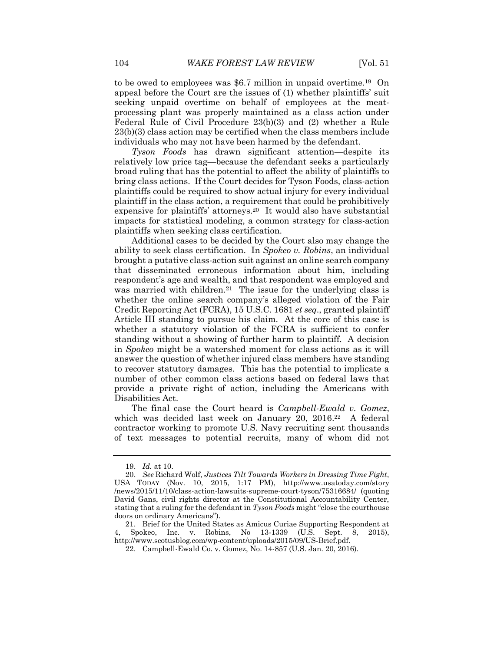to be owed to employees was \$6.7 million in unpaid overtime.19 On appeal before the Court are the issues of (1) whether plaintiffs' suit seeking unpaid overtime on behalf of employees at the meatprocessing plant was properly maintained as a class action under Federal Rule of Civil Procedure 23(b)(3) and (2) whether a Rule 23(b)(3) class action may be certified when the class members include individuals who may not have been harmed by the defendant.

*Tyson Foods* has drawn significant attention—despite its relatively low price tag—because the defendant seeks a particularly broad ruling that has the potential to affect the ability of plaintiffs to bring class actions. If the Court decides for Tyson Foods, class-action plaintiffs could be required to show actual injury for every individual plaintiff in the class action, a requirement that could be prohibitively expensive for plaintiffs' attorneys.<sup>20</sup> It would also have substantial impacts for statistical modeling, a common strategy for class-action plaintiffs when seeking class certification.

Additional cases to be decided by the Court also may change the ability to seek class certification. In *Spokeo v. Robins*, an individual brought a putative class-action suit against an online search company that disseminated erroneous information about him, including respondent's age and wealth, and that respondent was employed and was married with children.<sup>21</sup> The issue for the underlying class is whether the online search company's alleged violation of the Fair Credit Reporting Act (FCRA), 15 U.S.C. 1681 *et seq*., granted plaintiff Article III standing to pursue his claim. At the core of this case is whether a statutory violation of the FCRA is sufficient to confer standing without a showing of further harm to plaintiff. A decision in *Spokeo* might be a watershed moment for class actions as it will answer the question of whether injured class members have standing to recover statutory damages. This has the potential to implicate a number of other common class actions based on federal laws that provide a private right of action, including the Americans with Disabilities Act.

The final case the Court heard is *Campbell-Ewald v. Gomez*, which was decided last week on January 20, 2016. <sup>22</sup> A federal contractor working to promote U.S. Navy recruiting sent thousands of text messages to potential recruits, many of whom did not

<sup>19.</sup> *Id.* at 10.

<sup>20.</sup> *See* Richard Wolf, *Justices Tilt Towards Workers in Dressing Time Fight*, USA TODAY (Nov. 10, 2015, 1:17 PM), http://www.usatoday.com/story /news/2015/11/10/class-action-lawsuits-supreme-court-tyson/75316684/ (quoting David Gans, civil rights director at the Constitutional Accountability Center, stating that a ruling for the defendant in *Tyson Foods* might "close the courthouse doors on ordinary Americans").

<sup>21.</sup> Brief for the United States as Amicus Curiae Supporting Respondent at 4, Spokeo, Inc. v. Robins, No 13-1339 (U.S. Sept. 8, 2015), http://www.scotusblog.com/wp-content/uploads/2015/09/US-Brief.pdf.

<sup>22.</sup> Campbell-Ewald Co. v. Gomez, No. 14-857 (U.S. Jan. 20, 2016).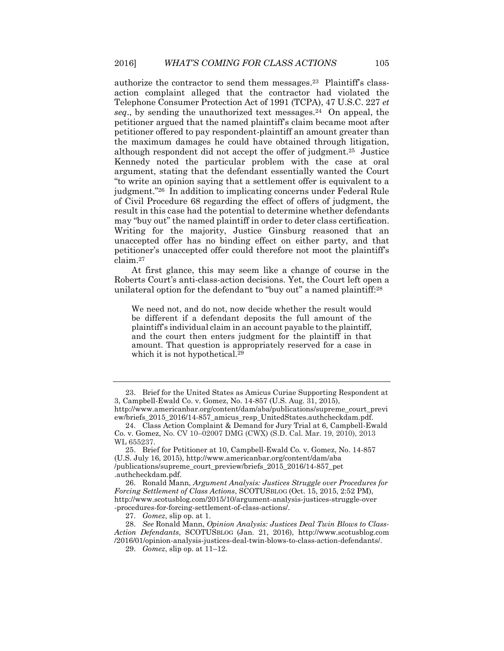authorize the contractor to send them messages. <sup>23</sup> Plaintiff's classaction complaint alleged that the contractor had violated the Telephone Consumer Protection Act of 1991 (TCPA), 47 U.S.C. 227 *et seq*., by sending the unauthorized text messages.<sup>24</sup> On appeal, the petitioner argued that the named plaintiff's claim became moot after petitioner offered to pay respondent-plaintiff an amount greater than the maximum damages he could have obtained through litigation, although respondent did not accept the offer of judgment. <sup>25</sup> Justice Kennedy noted the particular problem with the case at oral argument, stating that the defendant essentially wanted the Court "to write an opinion saying that a settlement offer is equivalent to a judgment." <sup>26</sup> In addition to implicating concerns under Federal Rule of Civil Procedure 68 regarding the effect of offers of judgment, the result in this case had the potential to determine whether defendants may "buy out" the named plaintiff in order to deter class certification. Writing for the majority, Justice Ginsburg reasoned that an unaccepted offer has no binding effect on either party, and that petitioner's unaccepted offer could therefore not moot the plaintiff's claim.<sup>27</sup>

At first glance, this may seem like a change of course in the Roberts Court's anti-class-action decisions. Yet, the Court left open a unilateral option for the defendant to "buy out" a named plaintiff:<sup>28</sup>

We need not, and do not, now decide whether the result would be different if a defendant deposits the full amount of the plaintiff's individual claim in an account payable to the plaintiff, and the court then enters judgment for the plaintiff in that amount. That question is appropriately reserved for a case in which it is not hypothetical.<sup>29</sup>

27. *Gomez*, slip op. at 1.

28. *See* Ronald Mann, *Opinion Analysis: Justices Deal Twin Blows to Class-Action Defendants*, SCOTUSBLOG (Jan. 21, 2016), http://www.scotusblog.com /2016/01/opinion-analysis-justices-deal-twin-blows-to-class-action-defendants/.

29. *Gomez*, slip op. at 11–12.

<sup>23.</sup> Brief for the United States as Amicus Curiae Supporting Respondent at 3, Campbell-Ewald Co. v. Gomez, No. 14-857 (U.S. Aug. 31, 2015), http://www.americanbar.org/content/dam/aba/publications/supreme\_court\_previ

ew/briefs\_2015\_2016/14-857\_amicus\_resp\_UnitedStates.authcheckdam.pdf. 24. Class Action Complaint & Demand for Jury Trial at 6, Campbell-Ewald

Co. v. Gomez, No. CV 10–02007 DMG (CWX) (S.D. Cal. Mar. 19, 2010), 2013 WL 655237.

<sup>25.</sup> Brief for Petitioner at 10, Campbell-Ewald Co. v. Gomez, No. 14-857 (U.S. July 16, 2015), http://www.americanbar.org/content/dam/aba /publications/supreme\_court\_preview/briefs\_2015\_2016/14-857\_pet .authcheckdam.pdf.

<sup>26.</sup> Ronald Mann, *Argument Analysis: Justices Struggle over Procedures for Forcing Settlement of Class Actions*, SCOTUSBLOG (Oct. 15, 2015, 2:52 PM), http://www.scotusblog.com/2015/10/argument-analysis-justices-struggle-over -procedures-for-forcing-settlement-of-class-actions/.